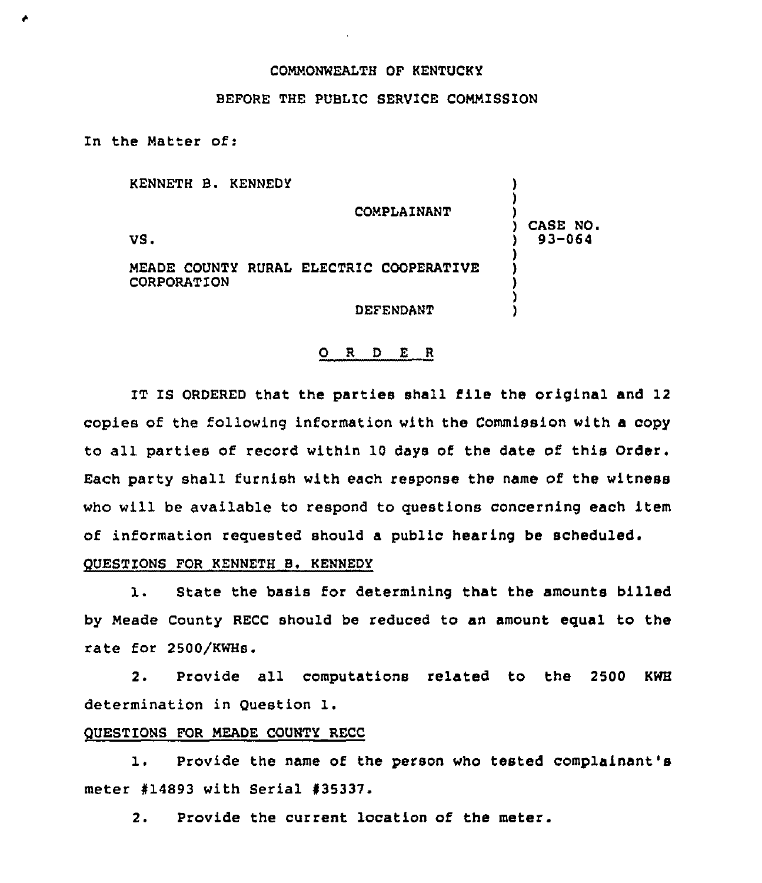## COMMONWEALTH OF KENTUCKY

### BEFORE THE PUBLIC SERVICE COMMISSION

In the Matter of:

| KENNETH B. KENNEDY | <b>COMPLAINANT</b>                      |                       |
|--------------------|-----------------------------------------|-----------------------|
| VS.                |                                         | CASE NO<br>$93 - 064$ |
| CORPORATION        | MEADE COUNTY RURAL ELECTRIC COOPERATIVE |                       |
|                    | DEFENDANT                               |                       |

#### 0 <sup>R</sup> <sup>D</sup> <sup>E</sup> <sup>R</sup>

IT IS ORDERED that the parties shall file the original and 12 copies of the following information with the Commission with a copy to all parties of record within 10 days of the date of this Order. Each party shall furnish with each response the name of the witness who will be available to respond to questions concerning each item of information requested should a public hearing be scheduled.

# QUESTIONS FOR KENNETH B. KENNEDY

1. State the basis for determining that the amounts billed by Meade County RECC should be reduced to an amount equal to the rate for 2500/KWHs.

2. Provide all computations related to the 2500 KWH determination in Question 1.

## QUESTIONS FOR MEADE COUNTY RECC

1. Provide the name of the person who tested complainant's meter #14893 with Serial #35337.

2. Provide the current location of the meter.